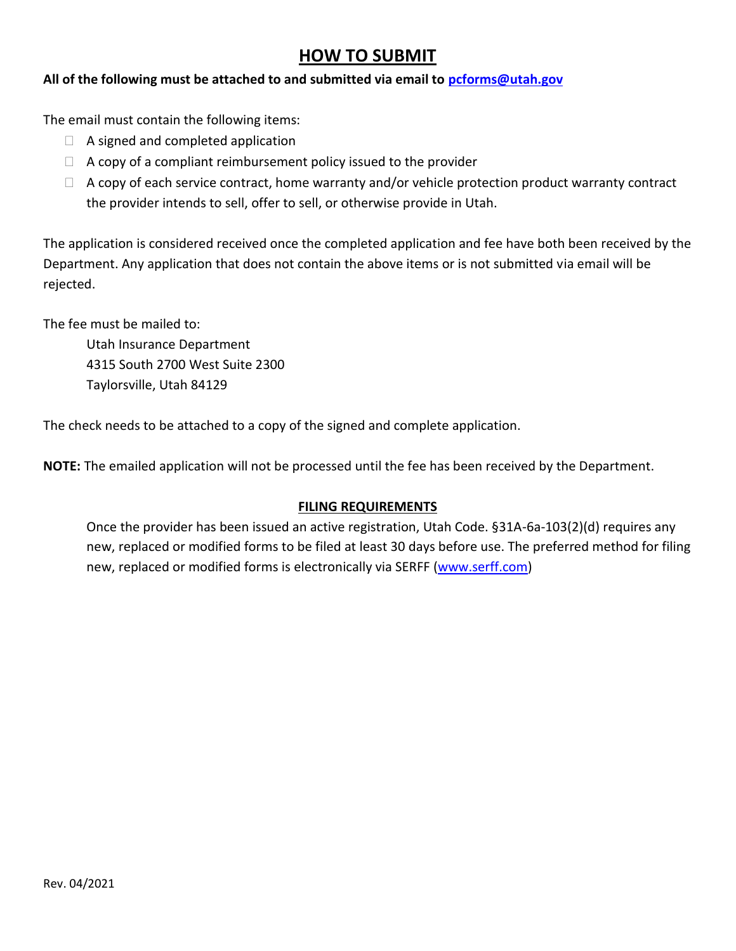## **HOW TO SUBMIT**

## **All of the following must be attached to and submitted via email to [pcforms@utah.gov](mailto:pcforms@utah.gov)**

The email must contain the following items:

- $\Box$  A signed and completed application
- $\Box$  A copy of a compliant reimbursement policy issued to the provider
- $\Box$  A copy of each service contract, home warranty and/or vehicle protection product warranty contract the provider intends to sell, offer to sell, or otherwise provide in Utah.

The application is considered received once the completed application and fee have both been received by the Department. Any application that does not contain the above items or is not submitted via email will be rejected.

The fee must be mailed to:

Utah Insurance Department 4315 South 2700 West Suite 2300 Taylorsville, Utah 84129

The check needs to be attached to a copy of the signed and complete application.

**NOTE:** The emailed application will not be processed until the fee has been received by the Department.

## **FILING REQUIREMENTS**

Once the provider has been issued an active registration, Utah Code. §31A-6a-103(2)(d) requires any new, replaced or modified forms to be filed at least 30 days before use. The preferred method for filing new, replaced or modified forms is electronically via SERFF [\(www.serff.com\)](http://www.serff.com/)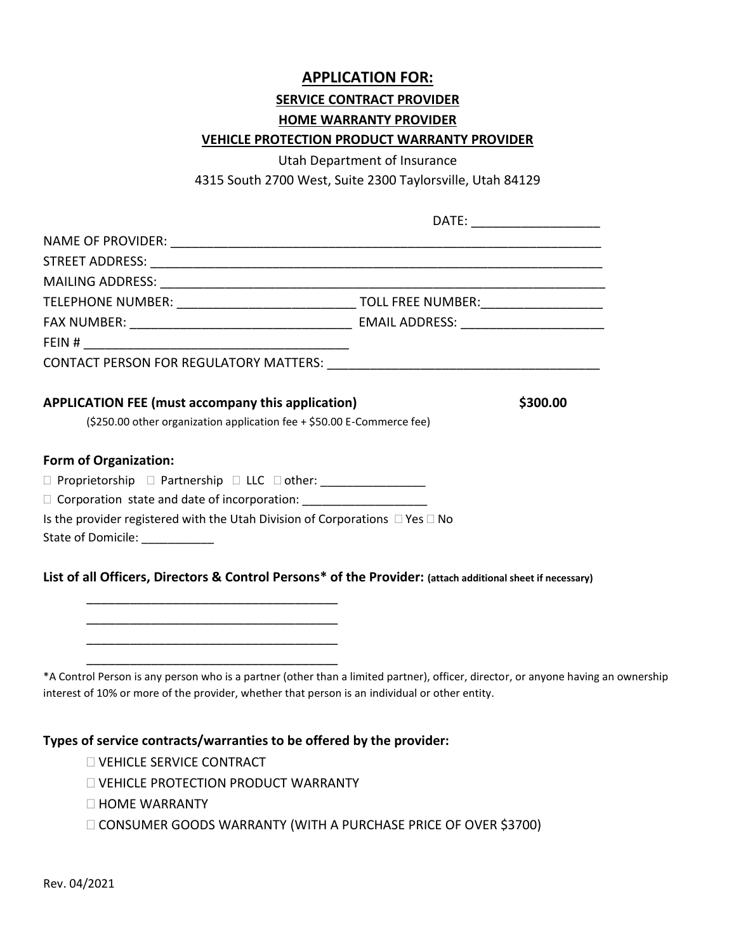# **APPLICATION FOR: SERVICE CONTRACT PROVIDER HOME WARRANTY PROVIDER VEHICLE PROTECTION PRODUCT WARRANTY PROVIDER**

Utah Department of Insurance

4315 South 2700 West, Suite 2300 Taylorsville, Utah 84129

|                                                                                                                                                |  | DATE: ______________________ |
|------------------------------------------------------------------------------------------------------------------------------------------------|--|------------------------------|
|                                                                                                                                                |  |                              |
|                                                                                                                                                |  |                              |
|                                                                                                                                                |  |                              |
|                                                                                                                                                |  |                              |
|                                                                                                                                                |  |                              |
|                                                                                                                                                |  |                              |
|                                                                                                                                                |  |                              |
| <b>APPLICATION FEE (must accompany this application)</b><br>\$300.00<br>(\$250.00 other organization application fee + \$50.00 E-Commerce fee) |  |                              |
| <b>Form of Organization:</b>                                                                                                                   |  |                              |
| □ Proprietorship □ Partnership □ LLC □ other: _________________                                                                                |  |                              |
| Corporation state and date of incorporation: ____________________                                                                              |  |                              |
| Is the provider registered with the Utah Division of Corporations $\Box$ Yes $\Box$ No                                                         |  |                              |
| State of Domicile: ___________                                                                                                                 |  |                              |
| List of all Officers, Directors & Control Persons* of the Provider: (attach additional sheet if necessary)                                     |  |                              |

\*A Control Person is any person who is a partner (other than a limited partner), officer, director, or anyone having an ownership interest of 10% or more of the provider, whether that person is an individual or other entity.

#### **Types of service contracts/warranties to be offered by the provider:**

- **NEHICLE SERVICE CONTRACT**
- **U VEHICLE PROTECTION PRODUCT WARRANTY**

\_\_\_\_\_\_\_\_\_\_\_\_\_\_\_\_\_\_\_\_\_\_\_\_\_\_\_\_\_\_\_\_\_\_\_ \_\_\_\_\_\_\_\_\_\_\_\_\_\_\_\_\_\_\_\_\_\_\_\_\_\_\_\_\_\_\_\_\_\_\_ \_\_\_\_\_\_\_\_\_\_\_\_\_\_\_\_\_\_\_\_\_\_\_\_\_\_\_\_\_\_\_\_\_\_\_

- $\Box$  HOME WARRANTY
- CONSUMER GOODS WARRANTY (WITH A PURCHASE PRICE OF OVER \$3700)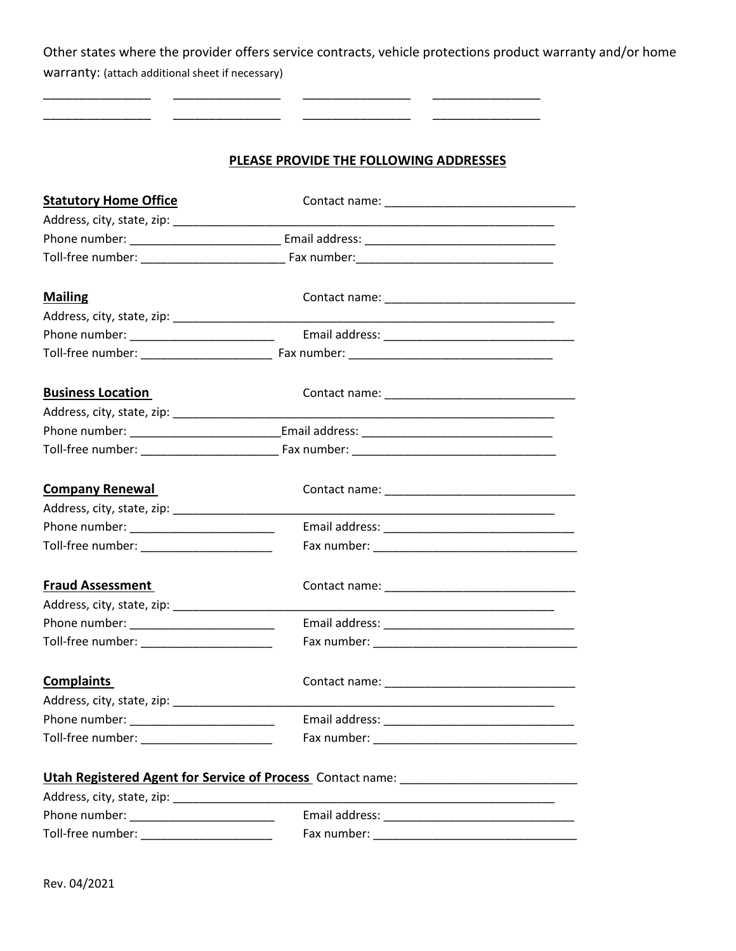Other states where the provider offers service contracts, vehicle protections product warranty and/or home warranty: (attach additional sheet if necessary)

\_\_\_\_\_\_\_\_\_\_\_\_\_\_\_ \_\_\_\_\_\_\_\_\_\_\_\_\_\_\_ \_\_\_\_\_\_\_\_\_\_\_\_\_\_\_ \_\_\_\_\_\_\_\_\_\_\_\_\_\_\_ \_\_\_\_\_\_\_\_\_\_\_\_\_\_\_ \_\_\_\_\_\_\_\_\_\_\_\_\_\_\_ \_\_\_\_\_\_\_\_\_\_\_\_\_\_\_ \_\_\_\_\_\_\_\_\_\_\_\_\_\_\_

### **PLEASE PROVIDE THE FOLLOWING ADDRESSES**

| <b>Mailing</b><br><b>Business Location</b><br><b>Company Renewal</b><br><b>Fraud Assessment</b><br>Toll-free number: ___________________________<br><b>Complaints</b><br><u> 1989 - Andrea Andrew Maria (h. 1989).</u><br>Toll-free number: ________________________<br>Utah Registered Agent for Service of Process Contact name: ______________________ | <b>Statutory Home Office</b> |  |
|-----------------------------------------------------------------------------------------------------------------------------------------------------------------------------------------------------------------------------------------------------------------------------------------------------------------------------------------------------------|------------------------------|--|
|                                                                                                                                                                                                                                                                                                                                                           |                              |  |
|                                                                                                                                                                                                                                                                                                                                                           |                              |  |
|                                                                                                                                                                                                                                                                                                                                                           |                              |  |
|                                                                                                                                                                                                                                                                                                                                                           |                              |  |
|                                                                                                                                                                                                                                                                                                                                                           |                              |  |
|                                                                                                                                                                                                                                                                                                                                                           |                              |  |
|                                                                                                                                                                                                                                                                                                                                                           |                              |  |
|                                                                                                                                                                                                                                                                                                                                                           |                              |  |
|                                                                                                                                                                                                                                                                                                                                                           |                              |  |
|                                                                                                                                                                                                                                                                                                                                                           |                              |  |
|                                                                                                                                                                                                                                                                                                                                                           |                              |  |
|                                                                                                                                                                                                                                                                                                                                                           |                              |  |
|                                                                                                                                                                                                                                                                                                                                                           |                              |  |
|                                                                                                                                                                                                                                                                                                                                                           |                              |  |
|                                                                                                                                                                                                                                                                                                                                                           |                              |  |
|                                                                                                                                                                                                                                                                                                                                                           |                              |  |
|                                                                                                                                                                                                                                                                                                                                                           |                              |  |
|                                                                                                                                                                                                                                                                                                                                                           |                              |  |
|                                                                                                                                                                                                                                                                                                                                                           |                              |  |
|                                                                                                                                                                                                                                                                                                                                                           |                              |  |
|                                                                                                                                                                                                                                                                                                                                                           |                              |  |
|                                                                                                                                                                                                                                                                                                                                                           |                              |  |
|                                                                                                                                                                                                                                                                                                                                                           |                              |  |
|                                                                                                                                                                                                                                                                                                                                                           |                              |  |
|                                                                                                                                                                                                                                                                                                                                                           |                              |  |
|                                                                                                                                                                                                                                                                                                                                                           |                              |  |
|                                                                                                                                                                                                                                                                                                                                                           |                              |  |
|                                                                                                                                                                                                                                                                                                                                                           |                              |  |
|                                                                                                                                                                                                                                                                                                                                                           |                              |  |